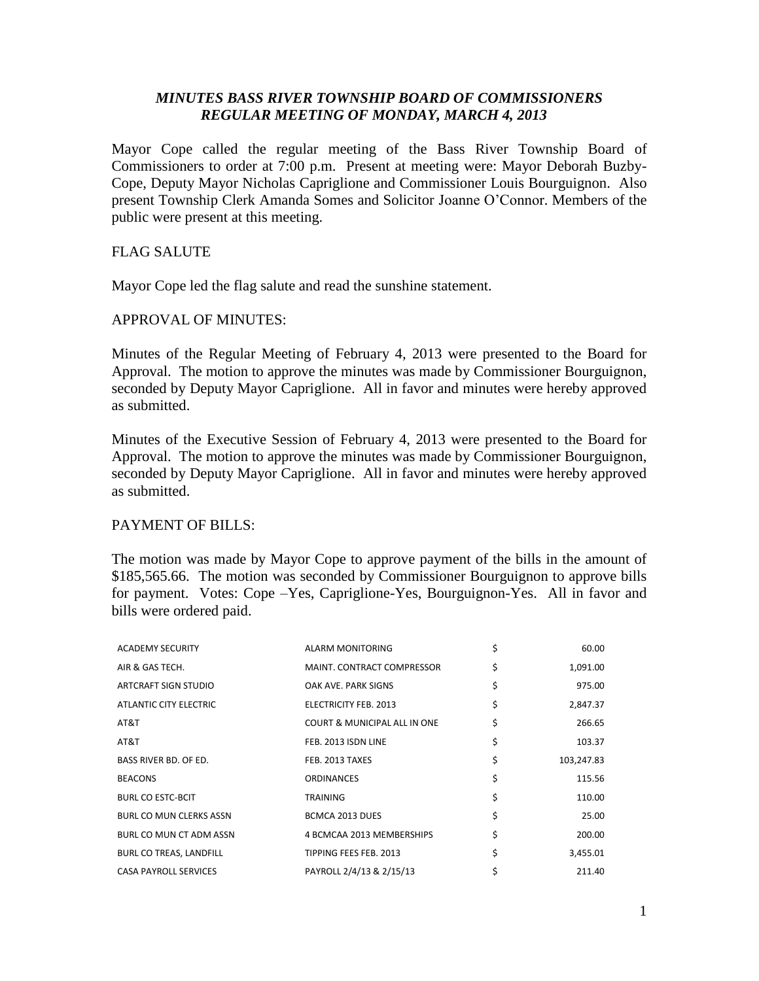# *MINUTES BASS RIVER TOWNSHIP BOARD OF COMMISSIONERS REGULAR MEETING OF MONDAY, MARCH 4, 2013*

Mayor Cope called the regular meeting of the Bass River Township Board of Commissioners to order at 7:00 p.m. Present at meeting were: Mayor Deborah Buzby-Cope, Deputy Mayor Nicholas Capriglione and Commissioner Louis Bourguignon. Also present Township Clerk Amanda Somes and Solicitor Joanne O'Connor. Members of the public were present at this meeting.

## FLAG SALUTE

Mayor Cope led the flag salute and read the sunshine statement.

## APPROVAL OF MINUTES:

Minutes of the Regular Meeting of February 4, 2013 were presented to the Board for Approval. The motion to approve the minutes was made by Commissioner Bourguignon, seconded by Deputy Mayor Capriglione. All in favor and minutes were hereby approved as submitted.

Minutes of the Executive Session of February 4, 2013 were presented to the Board for Approval. The motion to approve the minutes was made by Commissioner Bourguignon, seconded by Deputy Mayor Capriglione. All in favor and minutes were hereby approved as submitted.

## PAYMENT OF BILLS:

The motion was made by Mayor Cope to approve payment of the bills in the amount of \$185,565.66. The motion was seconded by Commissioner Bourguignon to approve bills for payment. Votes: Cope –Yes, Capriglione-Yes, Bourguignon-Yes. All in favor and bills were ordered paid.

| <b>ACADEMY SECURITY</b>        | ALARM MONITORING                  | \$<br>60.00      |
|--------------------------------|-----------------------------------|------------------|
| AIR & GAS TECH.                | <b>MAINT. CONTRACT COMPRESSOR</b> | \$<br>1,091.00   |
| ARTCRAFT SIGN STUDIO           | OAK AVE, PARK SIGNS               | \$<br>975.00     |
| ATLANTIC CITY ELECTRIC         | ELECTRICITY FEB. 2013             | \$<br>2,847.37   |
| AT&T                           | COURT & MUNICIPAL ALL IN ONE      | \$<br>266.65     |
| AT&T                           | FEB. 2013 ISDN LINE               | \$<br>103.37     |
| <b>BASS RIVER BD. OF ED.</b>   | FEB. 2013 TAXES                   | \$<br>103,247.83 |
| <b>BEACONS</b>                 | <b>ORDINANCES</b>                 | \$<br>115.56     |
| <b>BURL CO ESTC-BCIT</b>       | <b>TRAINING</b>                   | \$<br>110.00     |
| <b>BURL CO MUN CLERKS ASSN</b> | BCMCA 2013 DUES                   | \$<br>25.00      |
| BURL CO MUN CT ADM ASSN        | 4 BCMCAA 2013 MEMBERSHIPS         | \$<br>200.00     |
| BURL CO TREAS, LANDFILL        | TIPPING FEES FEB. 2013            | \$<br>3,455.01   |
| <b>CASA PAYROLL SERVICES</b>   | PAYROLL 2/4/13 & 2/15/13          | \$<br>211.40     |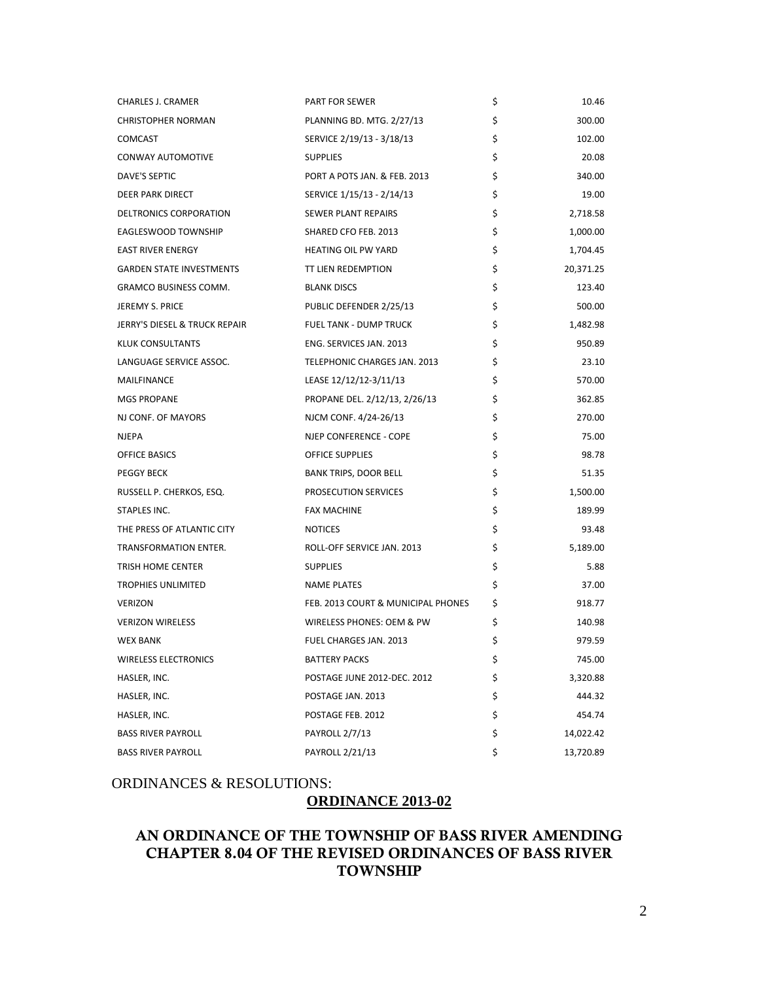| <b>CHARLES J. CRAMER</b>        | <b>PART FOR SEWER</b>              | \$<br>10.46     |
|---------------------------------|------------------------------------|-----------------|
| <b>CHRISTOPHER NORMAN</b>       | PLANNING BD. MTG. 2/27/13          | \$<br>300.00    |
| <b>COMCAST</b>                  | SERVICE 2/19/13 - 3/18/13          | \$<br>102.00    |
| CONWAY AUTOMOTIVE               | <b>SUPPLIES</b>                    | \$<br>20.08     |
| DAVE'S SEPTIC                   | PORT A POTS JAN. & FEB. 2013       | \$<br>340.00    |
| DEER PARK DIRECT                | SERVICE 1/15/13 - 2/14/13          | \$<br>19.00     |
| DELTRONICS CORPORATION          | SEWER PLANT REPAIRS                | \$<br>2,718.58  |
| EAGLESWOOD TOWNSHIP             | SHARED CFO FEB. 2013               | \$<br>1,000.00  |
| <b>EAST RIVER ENERGY</b>        | <b>HEATING OIL PW YARD</b>         | \$<br>1,704.45  |
| <b>GARDEN STATE INVESTMENTS</b> | TT LIEN REDEMPTION                 | \$<br>20,371.25 |
| <b>GRAMCO BUSINESS COMM.</b>    | <b>BLANK DISCS</b>                 | \$<br>123.40    |
| JEREMY S. PRICE                 | PUBLIC DEFENDER 2/25/13            | \$<br>500.00    |
| JERRY'S DIESEL & TRUCK REPAIR   | <b>FUEL TANK - DUMP TRUCK</b>      | \$<br>1,482.98  |
| KLUK CONSULTANTS                | ENG. SERVICES JAN. 2013            | \$<br>950.89    |
| LANGUAGE SERVICE ASSOC.         | TELEPHONIC CHARGES JAN. 2013       | \$<br>23.10     |
| MAILFINANCE                     | LEASE 12/12/12-3/11/13             | \$<br>570.00    |
| <b>MGS PROPANE</b>              | PROPANE DEL. 2/12/13, 2/26/13      | \$<br>362.85    |
| NJ CONF. OF MAYORS              | NJCM CONF. 4/24-26/13              | \$<br>270.00    |
| <b>NJEPA</b>                    | NJEP CONFERENCE - COPE             | \$<br>75.00     |
| OFFICE BASICS                   | <b>OFFICE SUPPLIES</b>             | \$<br>98.78     |
| <b>PEGGY BECK</b>               | <b>BANK TRIPS, DOOR BELL</b>       | \$<br>51.35     |
| RUSSELL P. CHERKOS, ESQ.        | <b>PROSECUTION SERVICES</b>        | \$<br>1,500.00  |
| STAPLES INC.                    | <b>FAX MACHINE</b>                 | \$<br>189.99    |
| THE PRESS OF ATLANTIC CITY      | <b>NOTICES</b>                     | \$<br>93.48     |
| TRANSFORMATION ENTER.           | ROLL-OFF SERVICE JAN. 2013         | \$<br>5,189.00  |
| TRISH HOME CENTER               | <b>SUPPLIES</b>                    | \$<br>5.88      |
| <b>TROPHIES UNLIMITED</b>       | <b>NAME PLATES</b>                 | \$<br>37.00     |
| <b>VERIZON</b>                  | FEB. 2013 COURT & MUNICIPAL PHONES | \$<br>918.77    |
| <b>VERIZON WIRELESS</b>         | WIRELESS PHONES: OEM & PW          | \$<br>140.98    |
| <b>WEX BANK</b>                 | FUEL CHARGES JAN. 2013             | \$<br>979.59    |
| WIRELESS ELECTRONICS            | <b>BATTERY PACKS</b>               | \$<br>745.00    |
| HASLER, INC.                    | POSTAGE JUNE 2012-DEC. 2012        | \$<br>3,320.88  |
| HASLER, INC.                    | POSTAGE JAN. 2013                  | \$<br>444.32    |
| HASLER, INC.                    | POSTAGE FEB. 2012                  | \$<br>454.74    |
| <b>BASS RIVER PAYROLL</b>       | PAYROLL 2/7/13                     | \$<br>14,022.42 |
| <b>BASS RIVER PAYROLL</b>       | PAYROLL 2/21/13                    | \$<br>13,720.89 |

## ORDINANCES & RESOLUTIONS:

# **ORDINANCE 2013-02**

# **AN ORDINANCE OF THE TOWNSHIP OF BASS RIVER AMENDING CHAPTER 8.04 OF THE REVISED ORDINANCES OF BASS RIVER TOWNSHIP**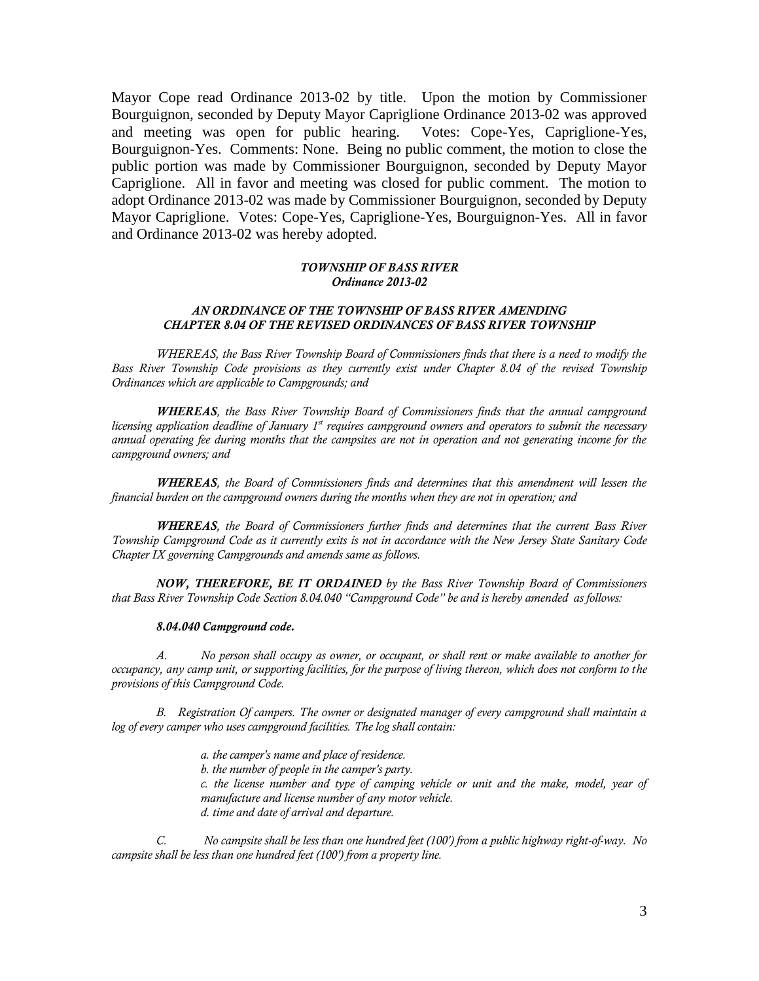Mayor Cope read Ordinance 2013-02 by title. Upon the motion by Commissioner Bourguignon, seconded by Deputy Mayor Capriglione Ordinance 2013-02 was approved and meeting was open for public hearing. Votes: Cope-Yes, Capriglione-Yes, Bourguignon-Yes. Comments: None. Being no public comment, the motion to close the public portion was made by Commissioner Bourguignon, seconded by Deputy Mayor Capriglione. All in favor and meeting was closed for public comment. The motion to adopt Ordinance 2013-02 was made by Commissioner Bourguignon, seconded by Deputy Mayor Capriglione. Votes: Cope-Yes, Capriglione-Yes, Bourguignon-Yes. All in favor and Ordinance 2013-02 was hereby adopted.

#### *TOWNSHIP OF BASS RIVER Ordinance 2013-02*

#### *AN ORDINANCE OF THE TOWNSHIP OF BASS RIVER AMENDING CHAPTER 8.04 OF THE REVISED ORDINANCES OF BASS RIVER TOWNSHIP*

*WHEREAS, the Bass River Township Board of Commissioners finds that there is a need to modify the Bass River Township Code provisions as they currently exist under Chapter 8.04 of the revised Township Ordinances which are applicable to Campgrounds; and*

*WHEREAS, the Bass River Township Board of Commissioners finds that the annual campground licensing application deadline of January 1st requires campground owners and operators to submit the necessary annual operating fee during months that the campsites are not in operation and not generating income for the campground owners; and*

*WHEREAS, the Board of Commissioners finds and determines that this amendment will lessen the financial burden on the campground owners during the months when they are not in operation; and* 

*WHEREAS, the Board of Commissioners further finds and determines that the current Bass River Township Campground Code as it currently exits is not in accordance with the New Jersey State Sanitary Code Chapter IX governing Campgrounds and amends same as follows.*

*NOW, THEREFORE, BE IT ORDAINED by the Bass River Township Board of Commissioners that Bass River Township Code Section 8.04.040 "Campground Code" be and is hereby amended as follows:* 

#### *8.04.040 Campground code.*

*A. No person shall occupy as owner, or occupant, or shall rent or make available to another for occupancy, any camp unit, or supporting facilities, for the purpose of living thereon, which does not conform to the provisions of this Campground Code.* 

*B. Registration Of campers. The owner or designated manager of every campground shall maintain a log of every camper who uses campground facilities. The log shall contain:*

> *a. the camper's name and place of residence. b. the number of people in the camper's party. c. the license number and type of camping vehicle or unit and the make, model, year of manufacture and license number of any motor vehicle. d. time and date of arrival and departure.*

*C. No campsite shall be less than one hundred feet (100') from a public highway right-of-way. No campsite shall be less than one hundred feet (100') from a property line.*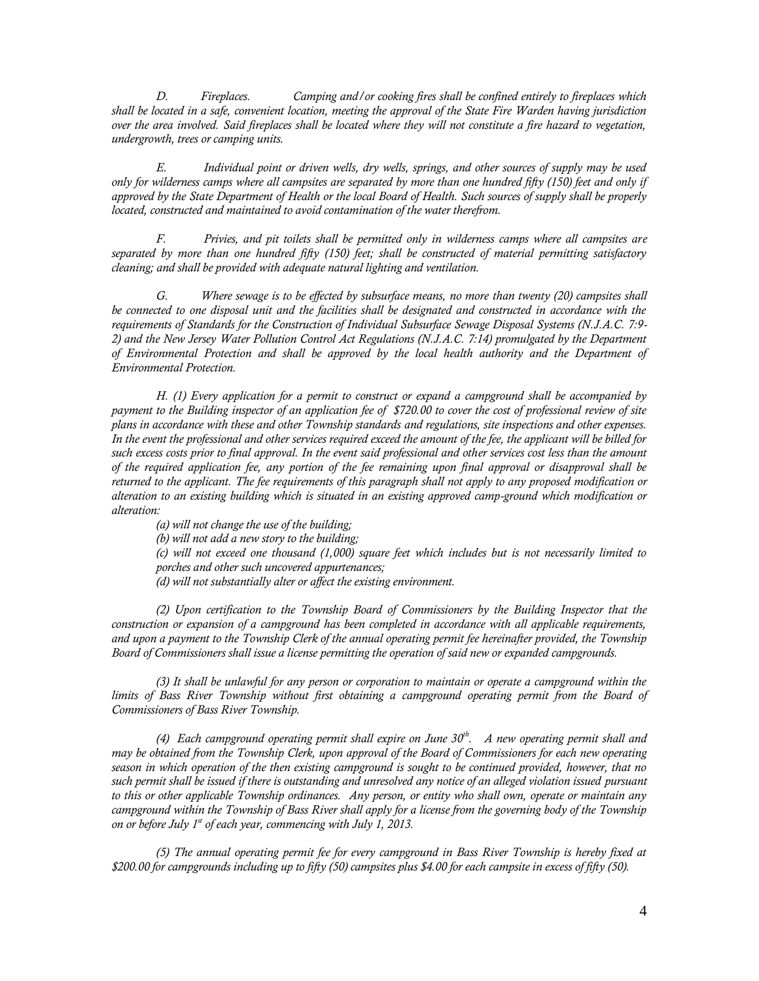*D. Fireplaces. Camping and/or cooking fires shall be confined entirely to fireplaces which shall be located in a safe, convenient location, meeting the approval of the State Fire Warden having jurisdiction over the area involved. Said fireplaces shall be located where they will not constitute a fire hazard to vegetation, undergrowth, trees or camping units.*

*E. Individual point or driven wells, dry wells, springs, and other sources of supply may be used only for wilderness camps where all campsites are separated by more than one hundred fifty (150) feet and only if approved by the State Department of Health or the local Board of Health. Such sources of supply shall be properly located, constructed and maintained to avoid contamination of the water therefrom.*

*F. Privies, and pit toilets shall be permitted only in wilderness camps where all campsites are separated by more than one hundred fifty (150) feet; shall be constructed of material permitting satisfactory cleaning; and shall be provided with adequate natural lighting and ventilation.*

*G. Where sewage is to be effected by subsurface means, no more than twenty (20) campsites shall be connected to one disposal unit and the facilities shall be designated and constructed in accordance with the requirements of Standards for the Construction of Individual Subsurface Sewage Disposal Systems (N.J.A.C. 7:9- 2) and the New Jersey Water Pollution Control Act Regulations (N.J.A.C. 7:14) promulgated by the Department of Environmental Protection and shall be approved by the local health authority and the Department of Environmental Protection.*

*H. (1) Every application for a permit to construct or expand a campground shall be accompanied by payment to the Building inspector of an application fee of \$720.00 to cover the cost of professional review of site plans in accordance with these and other Township standards and regulations, site inspections and other expenses. In the event the professional and other services required exceed the amount of the fee, the applicant will be billed for such excess costs prior to final approval. In the event said professional and other services cost less than the amount of the required application fee, any portion of the fee remaining upon final approval or disapproval shall be returned to the applicant. The fee requirements of this paragraph shall not apply to any proposed modification or alteration to an existing building which is situated in an existing approved camp-ground which modification or alteration:*

*(a) will not change the use of the building;*

*(b) will not add a new story to the building;*

*(c) will not exceed one thousand (1,000) square feet which includes but is not necessarily limited to porches and other such uncovered appurtenances;*

*(d) will not substantially alter or affect the existing environment.*

*(2) Upon certification to the Township Board of Commissioners by the Building Inspector that the construction or expansion of a campground has been completed in accordance with all applicable requirements, and upon a payment to the Township Clerk of the annual operating permit fee hereinafter provided, the Township Board of Commissioners shall issue a license permitting the operation of said new or expanded campgrounds.*

*(3) It shall be unlawful for any person or corporation to maintain or operate a campground within the*  limits of Bass River Township without first obtaining a campground operating permit from the Board of *Commissioners of Bass River Township.*

*(4) Each campground operating permit shall expire on June 30th. A new operating permit shall and may be obtained from the Township Clerk, upon approval of the Board of Commissioners for each new operating season in which operation of the then existing campground is sought to be continued provided, however, that no*  such permit shall be issued if there is outstanding and unresolved any notice of an alleged violation issued pursuant *to this or other applicable Township ordinances. Any person, or entity who shall own, operate or maintain any campground within the Township of Bass River shall apply for a license from the governing body of the Township on or before July 1st of each year, commencing with July 1, 2013.*

*(5) The annual operating permit fee for every campground in Bass River Township is hereby fixed at \$200.00 for campgrounds including up to fifty (50) campsites plus \$4.00 for each campsite in excess of fifty (50).*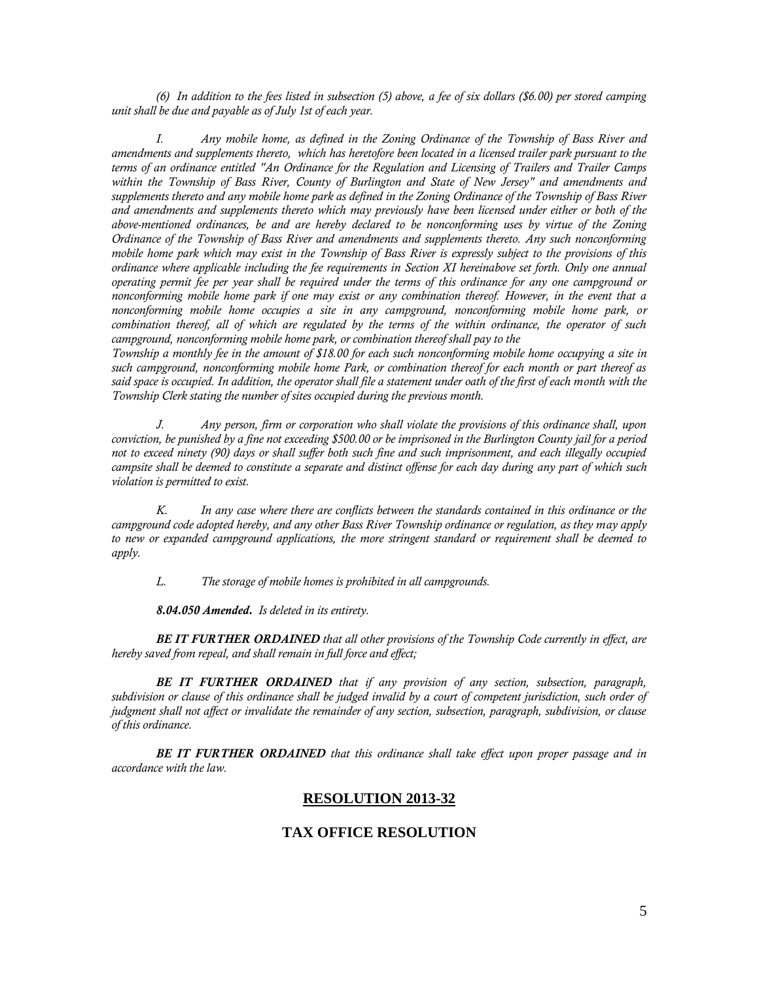*(6) In addition to the fees listed in subsection (5) above, a fee of six dollars (\$6.00) per stored camping unit shall be due and payable as of July 1st of each year.* 

*I. Any mobile home, as defined in the Zoning Ordinance of the Township of Bass River and amendments and supplements thereto, which has heretofore been located in a licensed trailer park pursuant to the terms of an ordinance entitled "An Ordinance for the Regulation and Licensing of Trailers and Trailer Camps within the Township of Bass River, County of Burlington and State of New Jersey" and amendments and supplements thereto and any mobile home park as defined in the Zoning Ordinance of the Township of Bass River and amendments and supplements thereto which may previously have been licensed under either or both of the above-mentioned ordinances, be and are hereby declared to be nonconforming uses by virtue of the Zoning Ordinance of the Township of Bass River and amendments and supplements thereto. Any such nonconforming mobile home park which may exist in the Township of Bass River is expressly subject to the provisions of this ordinance where applicable including the fee requirements in Section XI hereinabove set forth. Only one annual operating permit fee per year shall be required under the terms of this ordinance for any one campground or nonconforming mobile home park if one may exist or any combination thereof. However, in the event that a nonconforming mobile home occupies a site in any campground, nonconforming mobile home park, or combination thereof, all of which are regulated by the terms of the within ordinance, the operator of such campground, nonconforming mobile home park, or combination thereof shall pay to the*

*Township a monthly fee in the amount of \$18.00 for each such nonconforming mobile home occupying a site in such campground, nonconforming mobile home Park, or combination thereof for each month or part thereof as said space is occupied. In addition, the operator shall file a statement under oath of the first of each month with the Township Clerk stating the number of sites occupied during the previous month.*

*J. Any person, firm or corporation who shall violate the provisions of this ordinance shall, upon conviction, be punished by a fine not exceeding \$500.00 or be imprisoned in the Burlington County jail for a period not to exceed ninety (90) days or shall suffer both such fine and such imprisonment, and each illegally occupied campsite shall be deemed to constitute a separate and distinct offense for each day during any part of which such violation is permitted to exist.*

*K. In any case where there are conflicts between the standards contained in this ordinance or the campground code adopted hereby, and any other Bass River Township ordinance or regulation, as they may apply to new or expanded campground applications, the more stringent standard or requirement shall be deemed to apply.*

*L. The storage of mobile homes is prohibited in all campgrounds.*

*8.04.050 Amended. Is deleted in its entirety.* 

*BE IT FURTHER ORDAINED that all other provisions of the Township Code currently in effect, are hereby saved from repeal, and shall remain in full force and effect;* 

*BE IT FURTHER ORDAINED that if any provision of any section, subsection, paragraph, subdivision or clause of this ordinance shall be judged invalid by a court of competent jurisdiction, such order of judgment shall not affect or invalidate the remainder of any section, subsection, paragraph, subdivision, or clause of this ordinance.*

*BE IT FURTHER ORDAINED that this ordinance shall take effect upon proper passage and in accordance with the law.*

#### **RESOLUTION 2013-32**

### **TAX OFFICE RESOLUTION**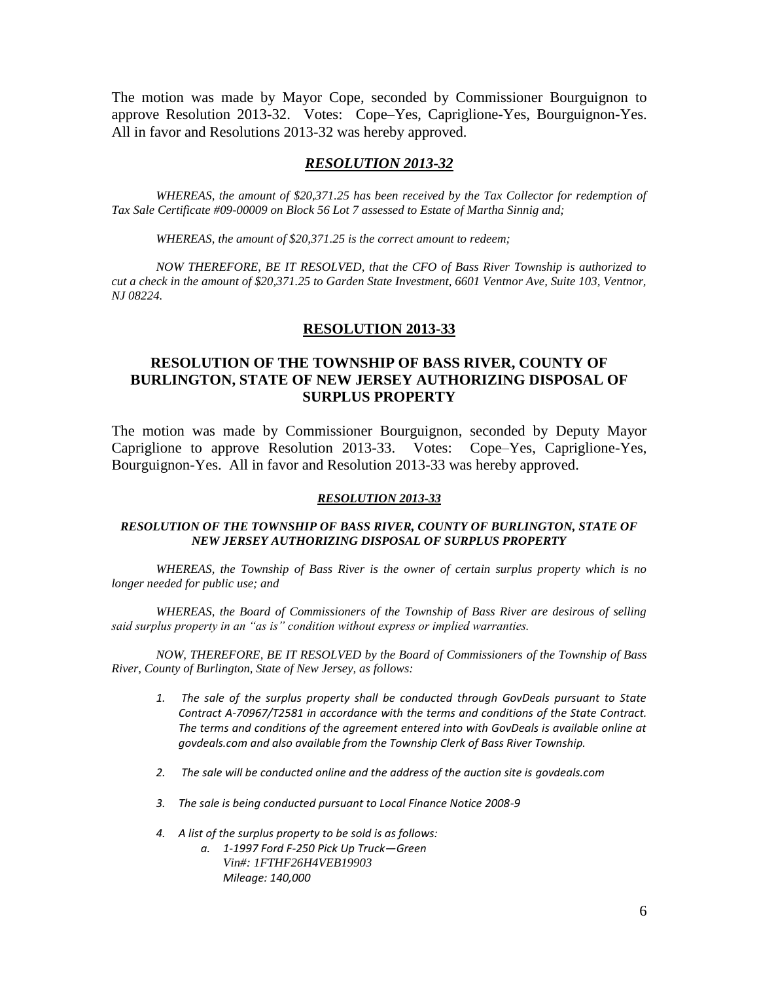The motion was made by Mayor Cope, seconded by Commissioner Bourguignon to approve Resolution 2013-32. Votes: Cope–Yes, Capriglione-Yes, Bourguignon-Yes. All in favor and Resolutions 2013-32 was hereby approved.

### *RESOLUTION 2013-32*

*WHEREAS, the amount of \$20,371.25 has been received by the Tax Collector for redemption of Tax Sale Certificate #09-00009 on Block 56 Lot 7 assessed to Estate of Martha Sinnig and;*

*WHEREAS, the amount of \$20,371.25 is the correct amount to redeem;*

*NOW THEREFORE, BE IT RESOLVED, that the CFO of Bass River Township is authorized to cut a check in the amount of \$20,371.25 to Garden State Investment, 6601 Ventnor Ave, Suite 103, Ventnor, NJ 08224.*

### **RESOLUTION 2013-33**

## **RESOLUTION OF THE TOWNSHIP OF BASS RIVER, COUNTY OF BURLINGTON, STATE OF NEW JERSEY AUTHORIZING DISPOSAL OF SURPLUS PROPERTY**

The motion was made by Commissioner Bourguignon, seconded by Deputy Mayor Capriglione to approve Resolution 2013-33. Votes: Cope–Yes, Capriglione-Yes, Bourguignon-Yes. All in favor and Resolution 2013-33 was hereby approved.

#### *RESOLUTION 2013-33*

#### *RESOLUTION OF THE TOWNSHIP OF BASS RIVER, COUNTY OF BURLINGTON, STATE OF NEW JERSEY AUTHORIZING DISPOSAL OF SURPLUS PROPERTY*

*WHEREAS, the Township of Bass River is the owner of certain surplus property which is no longer needed for public use; and*

*WHEREAS, the Board of Commissioners of the Township of Bass River are desirous of selling said surplus property in an "as is" condition without express or implied warranties.*

*NOW, THEREFORE, BE IT RESOLVED by the Board of Commissioners of the Township of Bass River, County of Burlington, State of New Jersey, as follows:*

- *1. The sale of the surplus property shall be conducted through GovDeals pursuant to State Contract A-70967/T2581 in accordance with the terms and conditions of the State Contract. The terms and conditions of the agreement entered into with GovDeals is available online at govdeals.com and also available from the Township Clerk of Bass River Township.*
- *2. The sale will be conducted online and the address of the auction site is govdeals.com*
- *3. The sale is being conducted pursuant to Local Finance Notice 2008-9*
- *4. A list of the surplus property to be sold is as follows:* 
	- *a. 1-1997 Ford F-250 Pick Up Truck—Green Vin#: 1FTHF26H4VEB19903 Mileage: 140,000*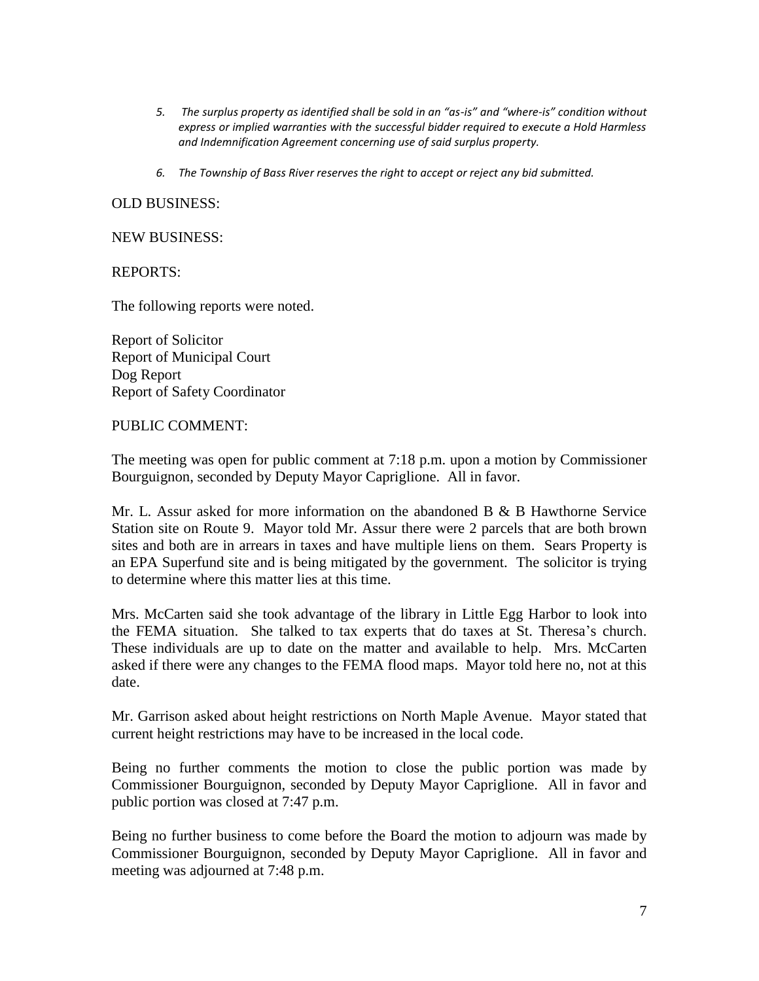- *5. The surplus property as identified shall be sold in an "as-is" and "where-is" condition without express or implied warranties with the successful bidder required to execute a Hold Harmless and Indemnification Agreement concerning use of said surplus property.*
- *6. The Township of Bass River reserves the right to accept or reject any bid submitted.*

## OLD BUSINESS:

### NEW BUSINESS:

REPORTS:

The following reports were noted.

Report of Solicitor Report of Municipal Court Dog Report Report of Safety Coordinator

## PUBLIC COMMENT:

The meeting was open for public comment at 7:18 p.m. upon a motion by Commissioner Bourguignon, seconded by Deputy Mayor Capriglione. All in favor.

Mr. L. Assur asked for more information on the abandoned B & B Hawthorne Service Station site on Route 9. Mayor told Mr. Assur there were 2 parcels that are both brown sites and both are in arrears in taxes and have multiple liens on them. Sears Property is an EPA Superfund site and is being mitigated by the government. The solicitor is trying to determine where this matter lies at this time.

Mrs. McCarten said she took advantage of the library in Little Egg Harbor to look into the FEMA situation. She talked to tax experts that do taxes at St. Theresa's church. These individuals are up to date on the matter and available to help. Mrs. McCarten asked if there were any changes to the FEMA flood maps. Mayor told here no, not at this date.

Mr. Garrison asked about height restrictions on North Maple Avenue. Mayor stated that current height restrictions may have to be increased in the local code.

Being no further comments the motion to close the public portion was made by Commissioner Bourguignon, seconded by Deputy Mayor Capriglione. All in favor and public portion was closed at 7:47 p.m.

Being no further business to come before the Board the motion to adjourn was made by Commissioner Bourguignon, seconded by Deputy Mayor Capriglione. All in favor and meeting was adjourned at 7:48 p.m.